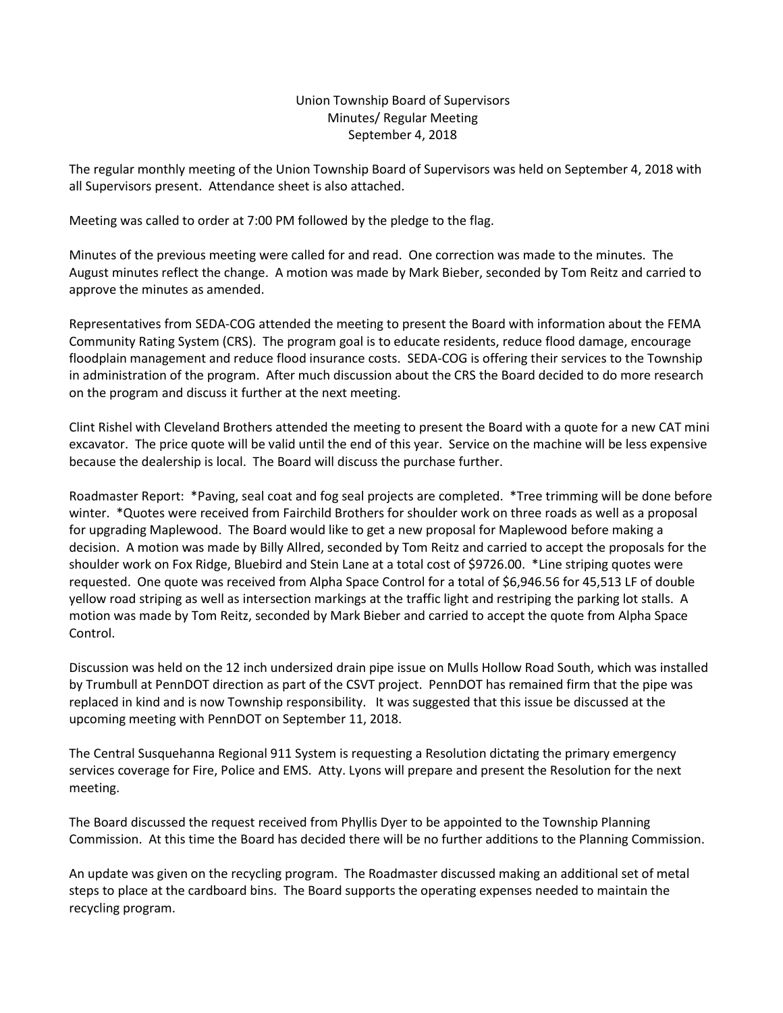## Union Township Board of Supervisors Minutes/ Regular Meeting September 4, 2018

The regular monthly meeting of the Union Township Board of Supervisors was held on September 4, 2018 with all Supervisors present. Attendance sheet is also attached.

Meeting was called to order at 7:00 PM followed by the pledge to the flag.

Minutes of the previous meeting were called for and read. One correction was made to the minutes. The August minutes reflect the change. A motion was made by Mark Bieber, seconded by Tom Reitz and carried to approve the minutes as amended.

Representatives from SEDA-COG attended the meeting to present the Board with information about the FEMA Community Rating System (CRS). The program goal is to educate residents, reduce flood damage, encourage floodplain management and reduce flood insurance costs. SEDA-COG is offering their services to the Township in administration of the program. After much discussion about the CRS the Board decided to do more research on the program and discuss it further at the next meeting.

Clint Rishel with Cleveland Brothers attended the meeting to present the Board with a quote for a new CAT mini excavator. The price quote will be valid until the end of this year. Service on the machine will be less expensive because the dealership is local. The Board will discuss the purchase further.

Roadmaster Report: \*Paving, seal coat and fog seal projects are completed. \*Tree trimming will be done before winter. \*Quotes were received from Fairchild Brothers for shoulder work on three roads as well as a proposal for upgrading Maplewood. The Board would like to get a new proposal for Maplewood before making a decision. A motion was made by Billy Allred, seconded by Tom Reitz and carried to accept the proposals for the shoulder work on Fox Ridge, Bluebird and Stein Lane at a total cost of \$9726.00. \*Line striping quotes were requested. One quote was received from Alpha Space Control for a total of \$6,946.56 for 45,513 LF of double yellow road striping as well as intersection markings at the traffic light and restriping the parking lot stalls. A motion was made by Tom Reitz, seconded by Mark Bieber and carried to accept the quote from Alpha Space Control.

Discussion was held on the 12 inch undersized drain pipe issue on Mulls Hollow Road South, which was installed by Trumbull at PennDOT direction as part of the CSVT project. PennDOT has remained firm that the pipe was replaced in kind and is now Township responsibility. It was suggested that this issue be discussed at the upcoming meeting with PennDOT on September 11, 2018.

The Central Susquehanna Regional 911 System is requesting a Resolution dictating the primary emergency services coverage for Fire, Police and EMS. Atty. Lyons will prepare and present the Resolution for the next meeting.

The Board discussed the request received from Phyllis Dyer to be appointed to the Township Planning Commission. At this time the Board has decided there will be no further additions to the Planning Commission.

An update was given on the recycling program. The Roadmaster discussed making an additional set of metal steps to place at the cardboard bins. The Board supports the operating expenses needed to maintain the recycling program.